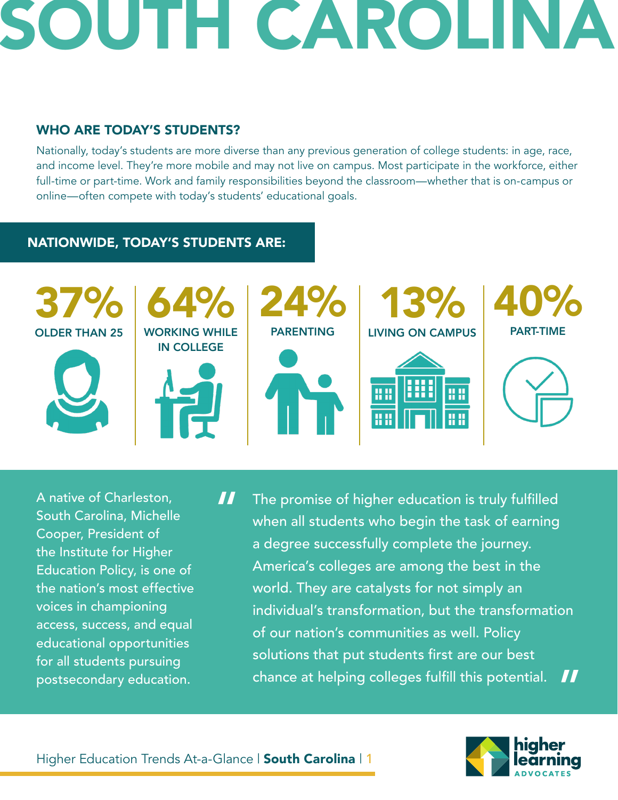### WHO ARE TODAY'S STUDENTS?

Nationally, today's students are more diverse than any previous generation of college students: in age, race, and income level. They're more mobile and may not live on campus. Most participate in the workforce, either full-time or part-time. Work and family responsibilities beyond the classroom—whether that is on-campus or online—often compete with today's students' educational goals.

### NATIONWIDE, TODAY'S STUDENTS ARE:



A native of Charleston, South Carolina, Michelle Cooper, President of the Institute for Higher Education Policy, is one of the nation's most effective voices in championing access, success, and equal educational opportunities for all students pursuing postsecondary education.

The promise of higher education is truly fulfilled when all students who begin the task of earning a degree successfully complete the journey. America's colleges are among the best in the world. They are catalysts for not simply an individual's transformation, but the transformation of our nation's communities as well. Policy solutions that put students first are our best chance at helping colleges fulfill this potential. " "

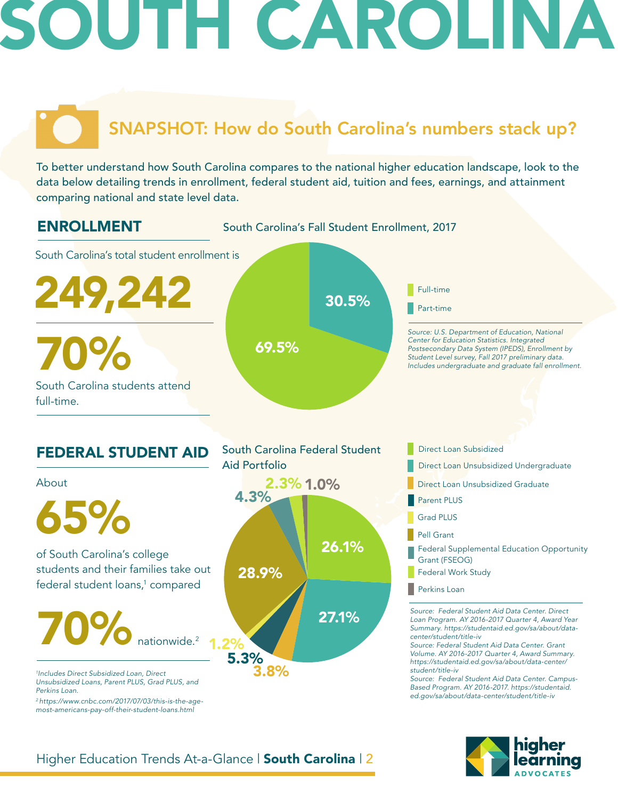

To better understand how South Carolina compares to the national higher education landscape, look to the data below detailing trends in enrollment, federal student aid, tuition and fees, earnings, and attainment comparing national and state level data.

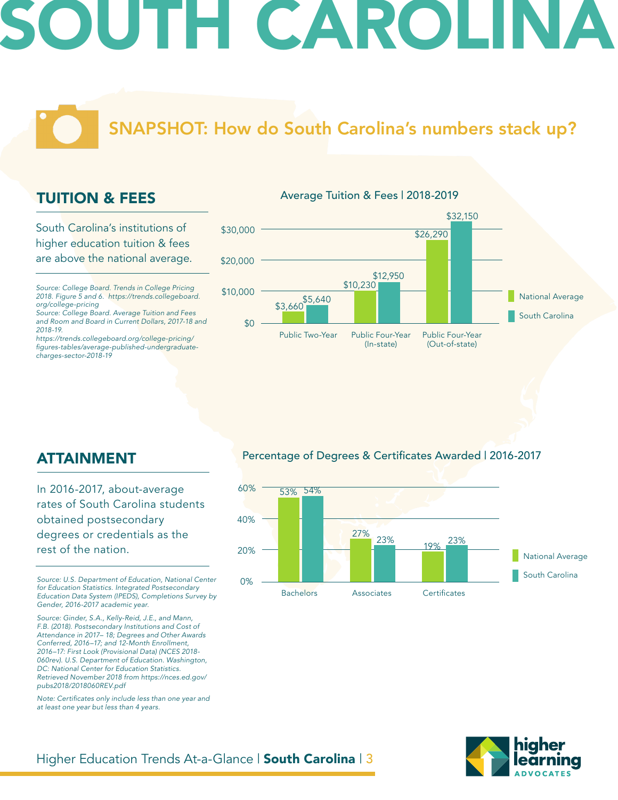SNAPSHOT: How do South Carolina's numbers stack up?

Average Tuition & Fees | 2018-2019

### TUITION & FEES

South Carolina's institutions of higher education tuition & fees are above the national average.

*Source: College Board. Trends in College Pricing 2018. Figure 5 and 6. https://trends.collegeboard. org/college-pricing*

*Source: College Board. Average Tuition and Fees and Room and Board in Current Dollars, 2017-18 and 2018-19.*

*https://trends.collegeboard.org/college-pricing/* figures-tables/average-published-undergraduate*charges-sector-2018-19*



### ATTAINMENT

In 2016-2017, about-average rates of South Carolina students obtained postsecondary degrees or credentials as the rest of the nation.

*Source: U.S. Department of Education, National Center for Education Statistics. Integrated Postsecondary Education Data System (IPEDS), Completions Survey by Gender, 2016-2017 academic year.* 

*Source: Ginder, S.A., Kelly-Reid, J.E., and Mann, F.B. (2018). Postsecondary Institutions and Cost of Attendance in 2017– 18; Degrees and Other Awards Conferred, 2016–17; and 12-Month Enrollment, 2016–17: First Look (Provisional Data) (NCES 2018- 060rev). U.S. Department of Education. Washington, DC: National Center for Education Statistics. Retrieved November 2018 from https://nces.ed.gov/ pubs2018/2018060REV.pdf*

Note: Certificates only include less than one year and *at least one year but less than 4 years.* 

#### Percentage of Degrees & Certificates Awarded | 2016-2017



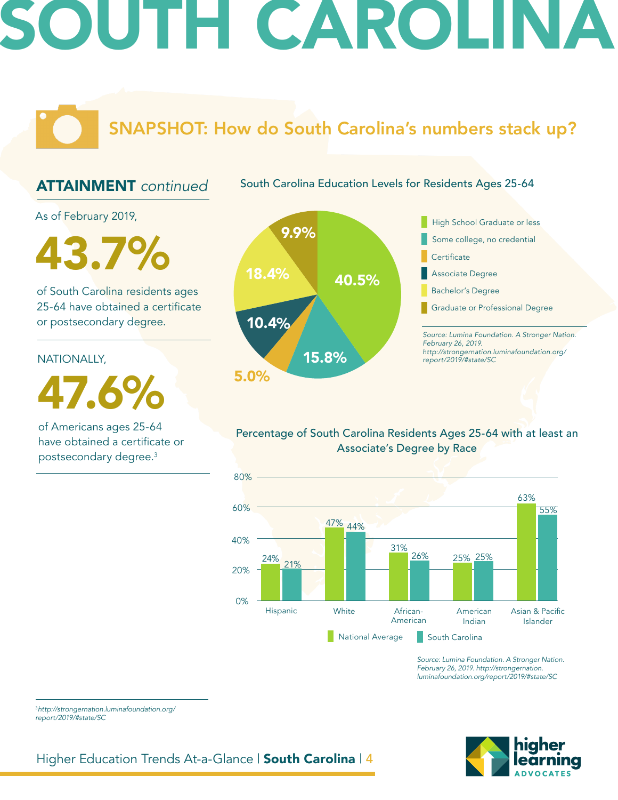### SNAPSHOT: How do South Carolina's numbers stack up?

### ATTAINMENT *continued*

South Carolina Education Levels for Residents Ages 25-64

As of February 2019,

9.9% 43.7%

of South Carolina residents ages 25-64 have obtained a certificate or postsecondary degree.

#### NATIONALLY,

47.6%

of Americans ages 25-64 have obtained a certificate or postsecondary degree.3



### Percentage of South Carolina Residents Ages 25-64 with at least an Associate's Degree by Race



*Source: Lumina Foundation. A Stronger Nation. February 26, 2019. http://strongernation. luminafoundation.org/report/2019/#state/SC*



<sup>3</sup>*http://strongernation.luminafoundation.org/ report/2019/#state/SC*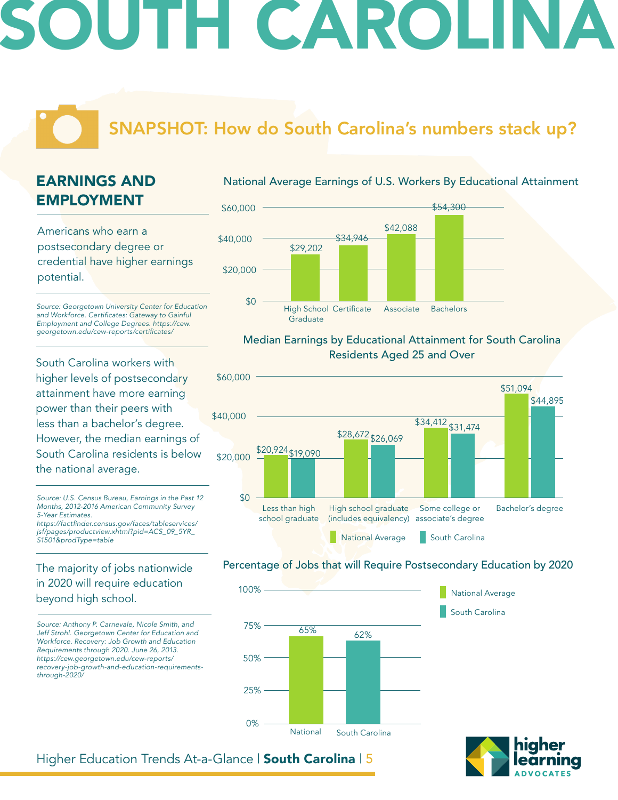### SNAPSHOT: How do South Carolina's numbers stack up?

### EARNINGS AND EMPLOYMENT

Americans who earn a postsecondary degree or credential have higher earnings potential.

*Source: Georgetown University Center for Education*  and Workforce. Certificates: Gateway to Gainful *Employment and College Degrees. https://cew.* georgetown.edu/cew-reports/certificates/

South Carolina workers with higher levels of postsecondary attainment have more earning power than their peers with less than a bachelor's degree. However, the median earnings of South Carolina residents is below the national average.

*Source: U.S. Census Bureau, Earnings in the Past 12 Months, 2012-2016 American Community Survey 5-Year Estimates.* https://factfinder.census.gov/faces/tableservices/

*jsf/pages/productview.xhtml?pid=ACS\_09\_5YR\_ S1501&prodType=table*

### The majority of jobs nationwide in 2020 will require education beyond high school.

*Source: Anthony P. Carnevale, Nicole Smith, and Jeff Strohl. Georgetown Center for Education and Workforce. Recovery: Job Growth and Education Requirements through 2020. June 26, 2013. https://cew.georgetown.edu/cew-reports/ recovery-job-growth-and-education-requirementsthrough-2020/*

#### National Average Earnings of U.S. Workers By Educational Attainment



### Median Earnings by Educational Attainment for South Carolina Residents Aged 25 and Over



#### Percentage of Jobs that will Require Postsecondary Education by 2020